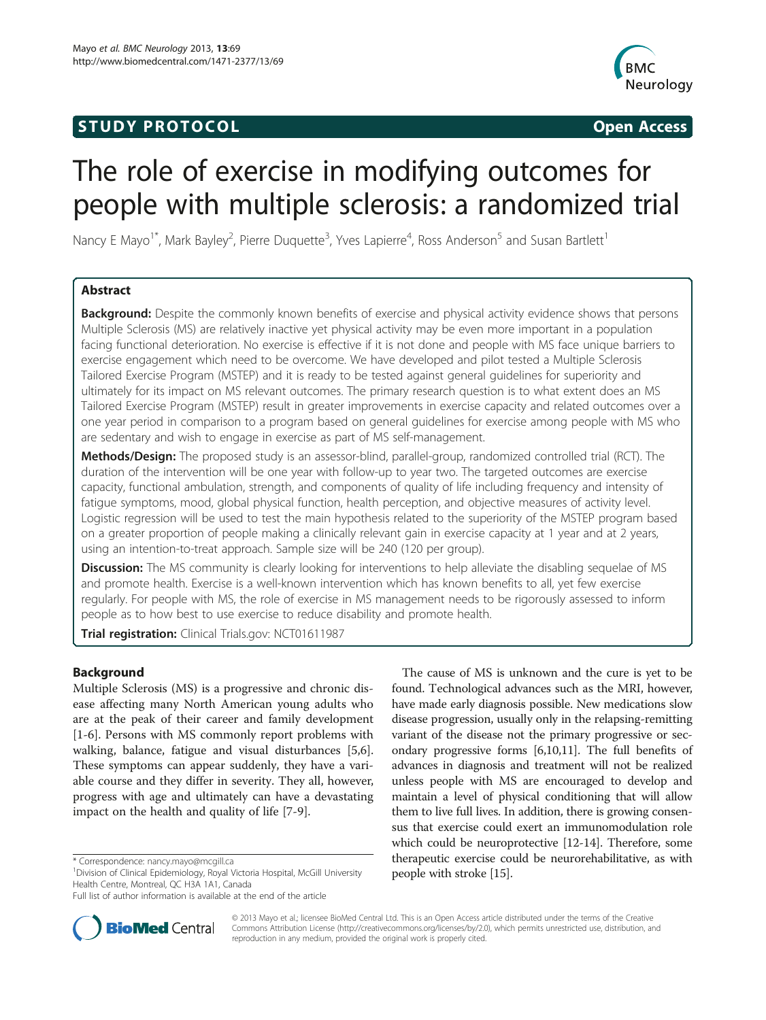## **STUDY PROTOCOL CONSUMING THE CONSUMING OPEN ACCESS**



# The role of exercise in modifying outcomes for people with multiple sclerosis: a randomized trial

Nancy E Mayo<sup>1\*</sup>, Mark Bayley<sup>2</sup>, Pierre Duquette<sup>3</sup>, Yves Lapierre<sup>4</sup>, Ross Anderson<sup>5</sup> and Susan Bartlett<sup>1</sup>

## Abstract

Background: Despite the commonly known benefits of exercise and physical activity evidence shows that persons Multiple Sclerosis (MS) are relatively inactive yet physical activity may be even more important in a population facing functional deterioration. No exercise is effective if it is not done and people with MS face unique barriers to exercise engagement which need to be overcome. We have developed and pilot tested a Multiple Sclerosis Tailored Exercise Program (MSTEP) and it is ready to be tested against general guidelines for superiority and ultimately for its impact on MS relevant outcomes. The primary research question is to what extent does an MS Tailored Exercise Program (MSTEP) result in greater improvements in exercise capacity and related outcomes over a one year period in comparison to a program based on general guidelines for exercise among people with MS who are sedentary and wish to engage in exercise as part of MS self-management.

Methods/Design: The proposed study is an assessor-blind, parallel-group, randomized controlled trial (RCT). The duration of the intervention will be one year with follow-up to year two. The targeted outcomes are exercise capacity, functional ambulation, strength, and components of quality of life including frequency and intensity of fatigue symptoms, mood, global physical function, health perception, and objective measures of activity level. Logistic regression will be used to test the main hypothesis related to the superiority of the MSTEP program based on a greater proportion of people making a clinically relevant gain in exercise capacity at 1 year and at 2 years, using an intention-to-treat approach. Sample size will be 240 (120 per group).

**Discussion:** The MS community is clearly looking for interventions to help alleviate the disabling sequelae of MS and promote health. Exercise is a well-known intervention which has known benefits to all, yet few exercise regularly. For people with MS, the role of exercise in MS management needs to be rigorously assessed to inform people as to how best to use exercise to reduce disability and promote health.

Trial registration: Clinical Trials.gov: [NCT01611987](www.clinicaltrials.gov/ct2/show/NCT01611987?term=NCT01611987)

## Background

Multiple Sclerosis (MS) is a progressive and chronic disease affecting many North American young adults who are at the peak of their career and family development [[1-6](#page-8-0)]. Persons with MS commonly report problems with walking, balance, fatigue and visual disturbances [\[5,6](#page-8-0)]. These symptoms can appear suddenly, they have a variable course and they differ in severity. They all, however, progress with age and ultimately can have a devastating impact on the health and quality of life [[7-9](#page-8-0)].

The cause of MS is unknown and the cure is yet to be found. Technological advances such as the MRI, however, have made early diagnosis possible. New medications slow disease progression, usually only in the relapsing-remitting variant of the disease not the primary progressive or secondary progressive forms [\[6,10](#page-8-0),[11](#page-8-0)]. The full benefits of advances in diagnosis and treatment will not be realized unless people with MS are encouraged to develop and maintain a level of physical conditioning that will allow them to live full lives. In addition, there is growing consensus that exercise could exert an immunomodulation role which could be neuroprotective [[12-14\]](#page-8-0). Therefore, some therapeutic exercise could be neurorehabilitative, as with people with stroke [\[15\]](#page-8-0).



© 2013 Mayo et al.; licensee BioMed Central Ltd. This is an Open Access article distributed under the terms of the Creative Commons Attribution License [\(http://creativecommons.org/licenses/by/2.0\)](http://creativecommons.org/licenses/by/2.0), which permits unrestricted use, distribution, and reproduction in any medium, provided the original work is properly cited.

<sup>\*</sup> Correspondence: [nancy.mayo@mcgill.ca](mailto:nancy.mayo@mcgill.ca) <sup>1</sup>

<sup>&</sup>lt;sup>1</sup> Division of Clinical Epidemiology, Royal Victoria Hospital, McGill University Health Centre, Montreal, QC H3A 1A1, Canada

Full list of author information is available at the end of the article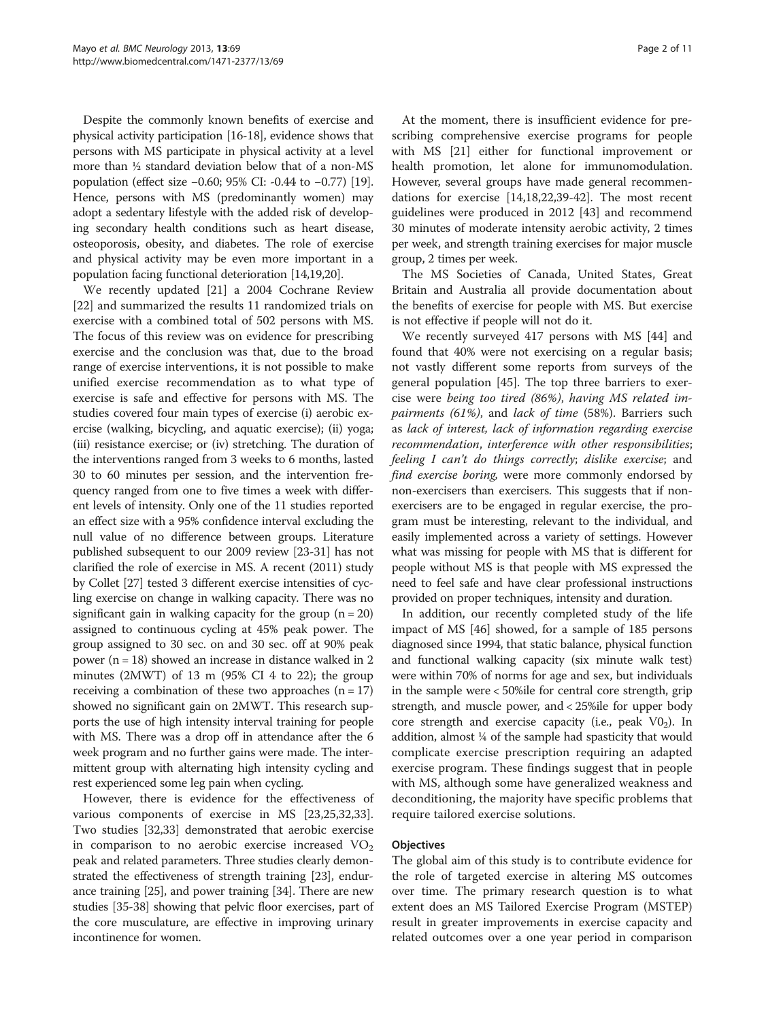Despite the commonly known benefits of exercise and physical activity participation [\[16-18\]](#page-8-0), evidence shows that persons with MS participate in physical activity at a level more than ½ standard deviation below that of a non-MS population (effect size −0.60; 95% CI: -0.44 to −0.77) [[19](#page-8-0)]. Hence, persons with MS (predominantly women) may adopt a sedentary lifestyle with the added risk of developing secondary health conditions such as heart disease, osteoporosis, obesity, and diabetes. The role of exercise and physical activity may be even more important in a population facing functional deterioration [\[14,19,20\]](#page-8-0).

We recently updated [[21\]](#page-8-0) a 2004 Cochrane Review [[22\]](#page-8-0) and summarized the results 11 randomized trials on exercise with a combined total of 502 persons with MS. The focus of this review was on evidence for prescribing exercise and the conclusion was that, due to the broad range of exercise interventions, it is not possible to make unified exercise recommendation as to what type of exercise is safe and effective for persons with MS. The studies covered four main types of exercise (i) aerobic exercise (walking, bicycling, and aquatic exercise); (ii) yoga; (iii) resistance exercise; or (iv) stretching. The duration of the interventions ranged from 3 weeks to 6 months, lasted 30 to 60 minutes per session, and the intervention frequency ranged from one to five times a week with different levels of intensity. Only one of the 11 studies reported an effect size with a 95% confidence interval excluding the null value of no difference between groups. Literature published subsequent to our 2009 review [\[23-31\]](#page-8-0) has not clarified the role of exercise in MS. A recent (2011) study by Collet [\[27\]](#page-8-0) tested 3 different exercise intensities of cycling exercise on change in walking capacity. There was no significant gain in walking capacity for the group  $(n = 20)$ assigned to continuous cycling at 45% peak power. The group assigned to 30 sec. on and 30 sec. off at 90% peak power (n = 18) showed an increase in distance walked in 2 minutes (2MWT) of 13 m (95% CI 4 to 22); the group receiving a combination of these two approaches  $(n = 17)$ showed no significant gain on 2MWT. This research supports the use of high intensity interval training for people with MS. There was a drop off in attendance after the 6 week program and no further gains were made. The intermittent group with alternating high intensity cycling and rest experienced some leg pain when cycling.

However, there is evidence for the effectiveness of various components of exercise in MS [[23,25,32,33](#page-8-0)]. Two studies [[32,33\]](#page-8-0) demonstrated that aerobic exercise in comparison to no aerobic exercise increased  $VO<sub>2</sub>$ peak and related parameters. Three studies clearly demonstrated the effectiveness of strength training [\[23](#page-8-0)], endurance training [[25](#page-8-0)], and power training [[34](#page-8-0)]. There are new studies [\[35](#page-9-0)-[38](#page-9-0)] showing that pelvic floor exercises, part of the core musculature, are effective in improving urinary incontinence for women.

At the moment, there is insufficient evidence for prescribing comprehensive exercise programs for people with MS [[21\]](#page-8-0) either for functional improvement or health promotion, let alone for immunomodulation. However, several groups have made general recommendations for exercise [[14,18,22,](#page-8-0)[39-42\]](#page-9-0). The most recent guidelines were produced in 2012 [[43\]](#page-9-0) and recommend 30 minutes of moderate intensity aerobic activity, 2 times per week, and strength training exercises for major muscle group, 2 times per week.

The MS Societies of Canada, United States, Great Britain and Australia all provide documentation about the benefits of exercise for people with MS. But exercise is not effective if people will not do it.

We recently surveyed 417 persons with MS [\[44](#page-9-0)] and found that 40% were not exercising on a regular basis; not vastly different some reports from surveys of the general population [\[45](#page-9-0)]. The top three barriers to exercise were being too tired (86%), having MS related impairments (61%), and lack of time (58%). Barriers such as lack of interest, lack of information regarding exercise recommendation, interference with other responsibilities; feeling I can't do things correctly; dislike exercise; and find exercise boring, were more commonly endorsed by non-exercisers than exercisers. This suggests that if nonexercisers are to be engaged in regular exercise, the program must be interesting, relevant to the individual, and easily implemented across a variety of settings. However what was missing for people with MS that is different for people without MS is that people with MS expressed the need to feel safe and have clear professional instructions provided on proper techniques, intensity and duration.

In addition, our recently completed study of the life impact of MS [[46\]](#page-9-0) showed, for a sample of 185 persons diagnosed since 1994, that static balance, physical function and functional walking capacity (six minute walk test) were within 70% of norms for age and sex, but individuals in the sample were < 50%ile for central core strength, grip strength, and muscle power, and < 25%ile for upper body core strength and exercise capacity (i.e., peak  $V_0$ ). In addition, almost ¼ of the sample had spasticity that would complicate exercise prescription requiring an adapted exercise program. These findings suggest that in people with MS, although some have generalized weakness and deconditioning, the majority have specific problems that require tailored exercise solutions.

## **Objectives**

The global aim of this study is to contribute evidence for the role of targeted exercise in altering MS outcomes over time. The primary research question is to what extent does an MS Tailored Exercise Program (MSTEP) result in greater improvements in exercise capacity and related outcomes over a one year period in comparison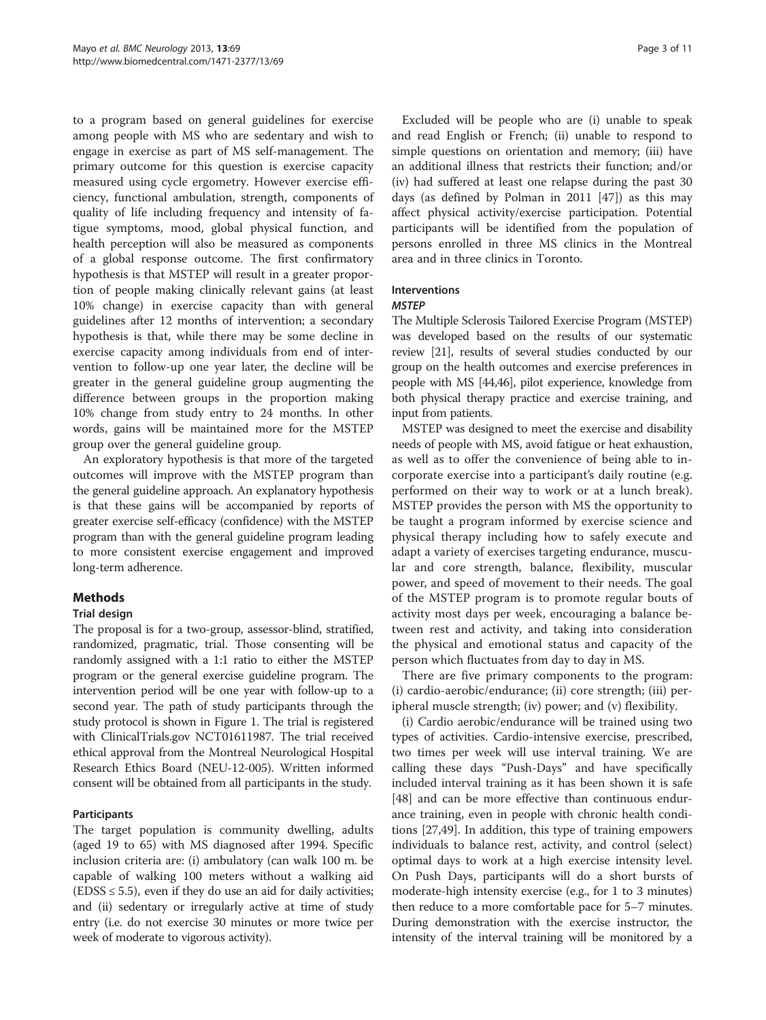to a program based on general guidelines for exercise among people with MS who are sedentary and wish to engage in exercise as part of MS self-management. The primary outcome for this question is exercise capacity measured using cycle ergometry. However exercise efficiency, functional ambulation, strength, components of quality of life including frequency and intensity of fatigue symptoms, mood, global physical function, and health perception will also be measured as components of a global response outcome. The first confirmatory hypothesis is that MSTEP will result in a greater proportion of people making clinically relevant gains (at least 10% change) in exercise capacity than with general guidelines after 12 months of intervention; a secondary hypothesis is that, while there may be some decline in exercise capacity among individuals from end of intervention to follow-up one year later, the decline will be greater in the general guideline group augmenting the difference between groups in the proportion making 10% change from study entry to 24 months. In other words, gains will be maintained more for the MSTEP group over the general guideline group.

An exploratory hypothesis is that more of the targeted outcomes will improve with the MSTEP program than the general guideline approach. An explanatory hypothesis is that these gains will be accompanied by reports of greater exercise self-efficacy (confidence) with the MSTEP program than with the general guideline program leading to more consistent exercise engagement and improved long-term adherence.

## Methods

## Trial design

The proposal is for a two-group, assessor-blind, stratified, randomized, pragmatic, trial. Those consenting will be randomly assigned with a 1:1 ratio to either the MSTEP program or the general exercise guideline program. The intervention period will be one year with follow-up to a second year. The path of study participants through the study protocol is shown in Figure [1.](#page-3-0) The trial is registered with ClinicalTrials.gov NCT01611987. The trial received ethical approval from the Montreal Neurological Hospital Research Ethics Board (NEU-12-005). Written informed consent will be obtained from all participants in the study.

## Participants

The target population is community dwelling, adults (aged 19 to 65) with MS diagnosed after 1994. Specific inclusion criteria are: (i) ambulatory (can walk 100 m. be capable of walking 100 meters without a walking aid  $(EDSS \le 5.5)$ , even if they do use an aid for daily activities; and (ii) sedentary or irregularly active at time of study entry (i.e. do not exercise 30 minutes or more twice per week of moderate to vigorous activity).

Excluded will be people who are (i) unable to speak and read English or French; (ii) unable to respond to simple questions on orientation and memory; (iii) have an additional illness that restricts their function; and/or (iv) had suffered at least one relapse during the past 30 days (as defined by Polman in 2011 [\[47](#page-9-0)]) as this may affect physical activity/exercise participation. Potential participants will be identified from the population of persons enrolled in three MS clinics in the Montreal area and in three clinics in Toronto.

## Interventions

#### **MSTEP**

The Multiple Sclerosis Tailored Exercise Program (MSTEP) was developed based on the results of our systematic review [\[21\]](#page-8-0), results of several studies conducted by our group on the health outcomes and exercise preferences in people with MS [\[44,46](#page-9-0)], pilot experience, knowledge from both physical therapy practice and exercise training, and input from patients.

MSTEP was designed to meet the exercise and disability needs of people with MS, avoid fatigue or heat exhaustion, as well as to offer the convenience of being able to incorporate exercise into a participant's daily routine (e.g. performed on their way to work or at a lunch break). MSTEP provides the person with MS the opportunity to be taught a program informed by exercise science and physical therapy including how to safely execute and adapt a variety of exercises targeting endurance, muscular and core strength, balance, flexibility, muscular power, and speed of movement to their needs. The goal of the MSTEP program is to promote regular bouts of activity most days per week, encouraging a balance between rest and activity, and taking into consideration the physical and emotional status and capacity of the person which fluctuates from day to day in MS.

There are five primary components to the program: (i) cardio-aerobic/endurance; (ii) core strength; (iii) peripheral muscle strength; (iv) power; and (v) flexibility.

(i) Cardio aerobic/endurance will be trained using two types of activities. Cardio-intensive exercise, prescribed, two times per week will use interval training. We are calling these days "Push-Days" and have specifically included interval training as it has been shown it is safe [[48\]](#page-9-0) and can be more effective than continuous endurance training, even in people with chronic health conditions [\[27](#page-8-0)[,49\]](#page-9-0). In addition, this type of training empowers individuals to balance rest, activity, and control (select) optimal days to work at a high exercise intensity level. On Push Days, participants will do a short bursts of moderate-high intensity exercise (e.g., for 1 to 3 minutes) then reduce to a more comfortable pace for 5–7 minutes. During demonstration with the exercise instructor, the intensity of the interval training will be monitored by a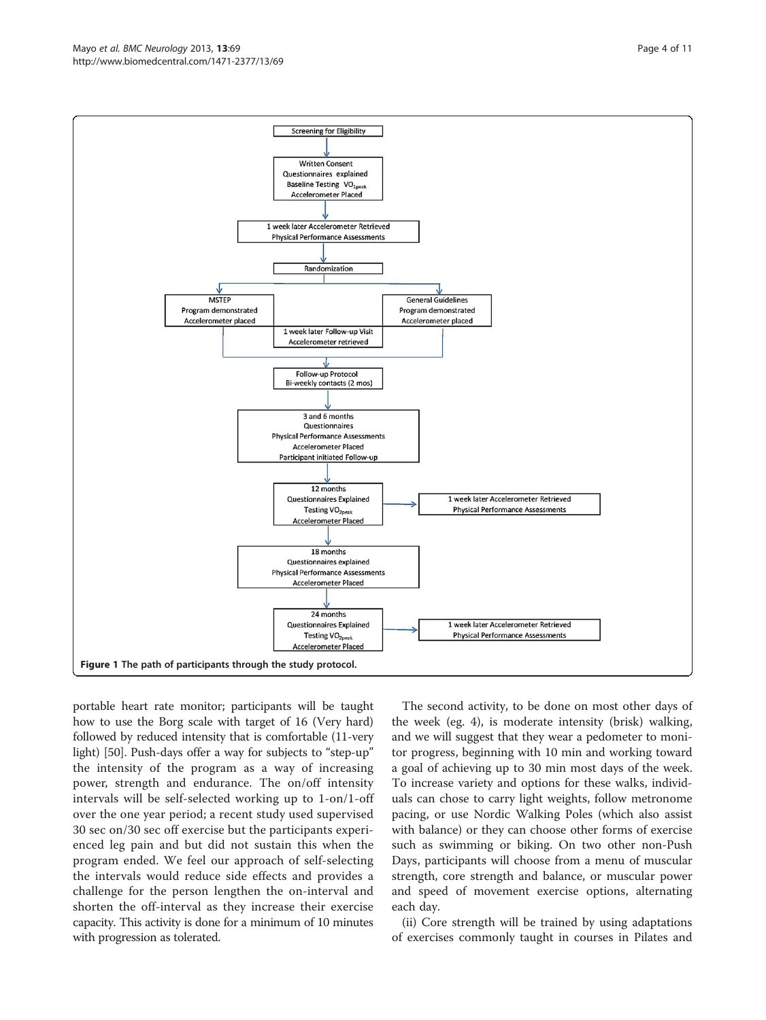portable heart rate monitor; participants will be taught how to use the Borg scale with target of 16 (Very hard) followed by reduced intensity that is comfortable (11-very light) [[50](#page-9-0)]. Push-days offer a way for subjects to "step-up" the intensity of the program as a way of increasing power, strength and endurance. The on/off intensity intervals will be self-selected working up to 1-on/1-off over the one year period; a recent study used supervised 30 sec on/30 sec off exercise but the participants experienced leg pain and but did not sustain this when the program ended. We feel our approach of self-selecting the intervals would reduce side effects and provides a challenge for the person lengthen the on-interval and shorten the off-interval as they increase their exercise capacity. This activity is done for a minimum of 10 minutes with progression as tolerated.

The second activity, to be done on most other days of the week (eg. 4), is moderate intensity (brisk) walking, and we will suggest that they wear a pedometer to monitor progress, beginning with 10 min and working toward a goal of achieving up to 30 min most days of the week. To increase variety and options for these walks, individuals can chose to carry light weights, follow metronome pacing, or use Nordic Walking Poles (which also assist with balance) or they can choose other forms of exercise such as swimming or biking. On two other non-Push Days, participants will choose from a menu of muscular strength, core strength and balance, or muscular power and speed of movement exercise options, alternating each day.

(ii) Core strength will be trained by using adaptations of exercises commonly taught in courses in Pilates and

<span id="page-3-0"></span>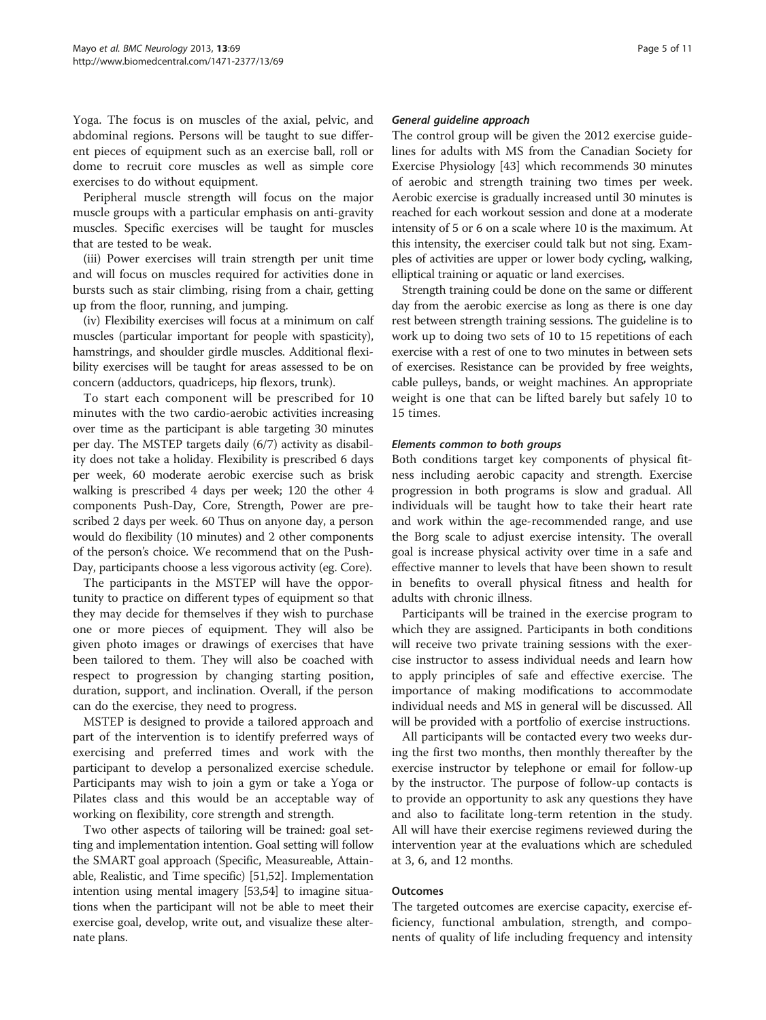Yoga. The focus is on muscles of the axial, pelvic, and abdominal regions. Persons will be taught to sue different pieces of equipment such as an exercise ball, roll or dome to recruit core muscles as well as simple core exercises to do without equipment.

Peripheral muscle strength will focus on the major muscle groups with a particular emphasis on anti-gravity muscles. Specific exercises will be taught for muscles that are tested to be weak.

(iii) Power exercises will train strength per unit time and will focus on muscles required for activities done in bursts such as stair climbing, rising from a chair, getting up from the floor, running, and jumping.

(iv) Flexibility exercises will focus at a minimum on calf muscles (particular important for people with spasticity), hamstrings, and shoulder girdle muscles. Additional flexibility exercises will be taught for areas assessed to be on concern (adductors, quadriceps, hip flexors, trunk).

To start each component will be prescribed for 10 minutes with the two cardio-aerobic activities increasing over time as the participant is able targeting 30 minutes per day. The MSTEP targets daily (6/7) activity as disability does not take a holiday. Flexibility is prescribed 6 days per week, 60 moderate aerobic exercise such as brisk walking is prescribed 4 days per week; 120 the other 4 components Push-Day, Core, Strength, Power are prescribed 2 days per week. 60 Thus on anyone day, a person would do flexibility (10 minutes) and 2 other components of the person's choice. We recommend that on the Push-Day, participants choose a less vigorous activity (eg. Core).

The participants in the MSTEP will have the opportunity to practice on different types of equipment so that they may decide for themselves if they wish to purchase one or more pieces of equipment. They will also be given photo images or drawings of exercises that have been tailored to them. They will also be coached with respect to progression by changing starting position, duration, support, and inclination. Overall, if the person can do the exercise, they need to progress.

MSTEP is designed to provide a tailored approach and part of the intervention is to identify preferred ways of exercising and preferred times and work with the participant to develop a personalized exercise schedule. Participants may wish to join a gym or take a Yoga or Pilates class and this would be an acceptable way of working on flexibility, core strength and strength.

Two other aspects of tailoring will be trained: goal setting and implementation intention. Goal setting will follow the SMART goal approach (Specific, Measureable, Attainable, Realistic, and Time specific) [[51,52](#page-9-0)]. Implementation intention using mental imagery [\[53,54\]](#page-9-0) to imagine situations when the participant will not be able to meet their exercise goal, develop, write out, and visualize these alternate plans.

The control group will be given the 2012 exercise guidelines for adults with MS from the Canadian Society for Exercise Physiology [[43\]](#page-9-0) which recommends 30 minutes of aerobic and strength training two times per week. Aerobic exercise is gradually increased until 30 minutes is reached for each workout session and done at a moderate intensity of 5 or 6 on a scale where 10 is the maximum. At this intensity, the exerciser could talk but not sing. Examples of activities are upper or lower body cycling, walking, elliptical training or aquatic or land exercises.

Strength training could be done on the same or different day from the aerobic exercise as long as there is one day rest between strength training sessions. The guideline is to work up to doing two sets of 10 to 15 repetitions of each exercise with a rest of one to two minutes in between sets of exercises. Resistance can be provided by free weights, cable pulleys, bands, or weight machines. An appropriate weight is one that can be lifted barely but safely 10 to 15 times.

#### Elements common to both groups

Both conditions target key components of physical fitness including aerobic capacity and strength. Exercise progression in both programs is slow and gradual. All individuals will be taught how to take their heart rate and work within the age-recommended range, and use the Borg scale to adjust exercise intensity. The overall goal is increase physical activity over time in a safe and effective manner to levels that have been shown to result in benefits to overall physical fitness and health for adults with chronic illness.

Participants will be trained in the exercise program to which they are assigned. Participants in both conditions will receive two private training sessions with the exercise instructor to assess individual needs and learn how to apply principles of safe and effective exercise. The importance of making modifications to accommodate individual needs and MS in general will be discussed. All will be provided with a portfolio of exercise instructions.

All participants will be contacted every two weeks during the first two months, then monthly thereafter by the exercise instructor by telephone or email for follow-up by the instructor. The purpose of follow-up contacts is to provide an opportunity to ask any questions they have and also to facilitate long-term retention in the study. All will have their exercise regimens reviewed during the intervention year at the evaluations which are scheduled at 3, 6, and 12 months.

#### Outcomes

The targeted outcomes are exercise capacity, exercise efficiency, functional ambulation, strength, and components of quality of life including frequency and intensity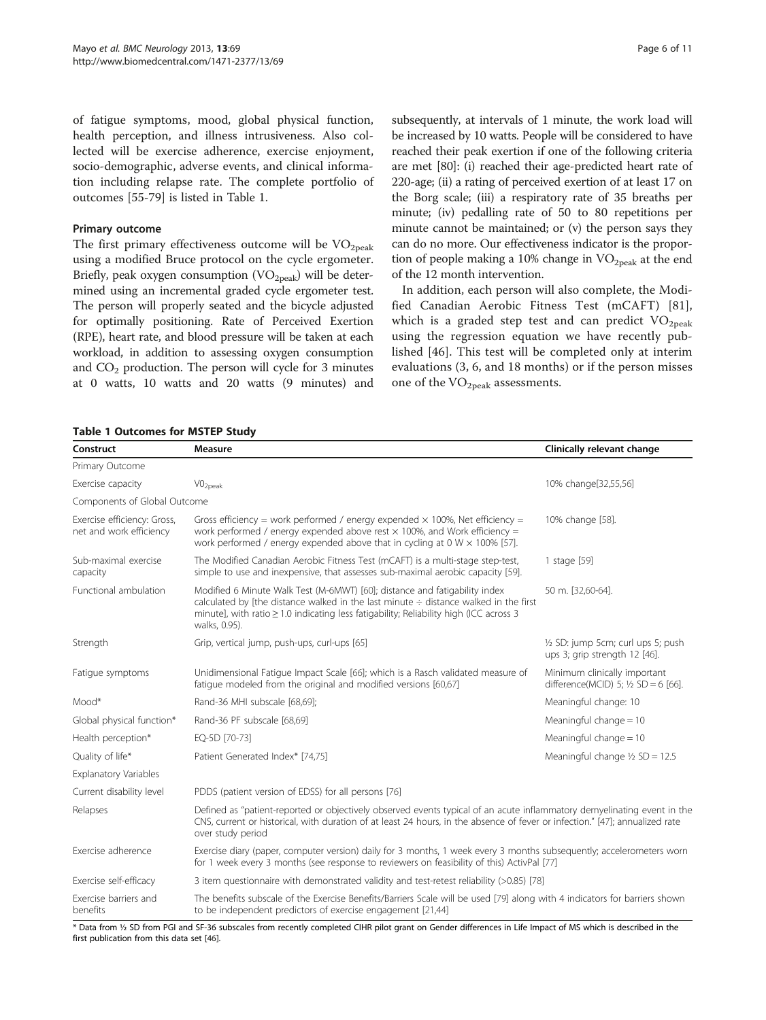<span id="page-5-0"></span>of fatigue symptoms, mood, global physical function, health perception, and illness intrusiveness. Also collected will be exercise adherence, exercise enjoyment, socio-demographic, adverse events, and clinical information including relapse rate. The complete portfolio of outcomes [\[55](#page-9-0)-[79](#page-9-0)] is listed in Table 1.

#### Primary outcome

The first primary effectiveness outcome will be  $VO<sub>2peak</sub>$ using a modified Bruce protocol on the cycle ergometer. Briefly, peak oxygen consumption  $(\text{VO}_\text{2peak})$  will be determined using an incremental graded cycle ergometer test. The person will properly seated and the bicycle adjusted for optimally positioning. Rate of Perceived Exertion (RPE), heart rate, and blood pressure will be taken at each workload, in addition to assessing oxygen consumption and  $CO<sub>2</sub>$  production. The person will cycle for 3 minutes at 0 watts, 10 watts and 20 watts (9 minutes) and

## subsequently, at intervals of 1 minute, the work load will be increased by 10 watts. People will be considered to have reached their peak exertion if one of the following criteria are met [[80](#page-9-0)]: (i) reached their age-predicted heart rate of 220-age; (ii) a rating of perceived exertion of at least 17 on the Borg scale; (iii) a respiratory rate of 35 breaths per minute; (iv) pedalling rate of 50 to 80 repetitions per minute cannot be maintained; or (v) the person says they can do no more. Our effectiveness indicator is the proportion of people making a 10% change in  $VO<sub>2peak</sub>$  at the end of the 12 month intervention.

In addition, each person will also complete, the Modified Canadian Aerobic Fitness Test (mCAFT) [[81](#page-9-0)], which is a graded step test and can predict  $VO<sub>2peak</sub>$ using the regression equation we have recently published [[46](#page-9-0)]. This test will be completed only at interim evaluations (3, 6, and 18 months) or if the person misses one of the  $VO<sub>2peak</sub>$  assessments.

#### Table 1 Outcomes for MSTEP Study

| Construct                                              | Measure                                                                                                                                                                                                                                                                                 | Clinically relevant change                                                     |
|--------------------------------------------------------|-----------------------------------------------------------------------------------------------------------------------------------------------------------------------------------------------------------------------------------------------------------------------------------------|--------------------------------------------------------------------------------|
| Primary Outcome                                        |                                                                                                                                                                                                                                                                                         |                                                                                |
| Exercise capacity                                      | VO <sub>2peak</sub>                                                                                                                                                                                                                                                                     | 10% change[32,55,56]                                                           |
| Components of Global Outcome                           |                                                                                                                                                                                                                                                                                         |                                                                                |
| Exercise efficiency: Gross,<br>net and work efficiency | Gross efficiency = work performed / energy expended $\times$ 100%, Net efficiency =<br>work performed / energy expended above rest $\times$ 100%, and Work efficiency =<br>work performed / energy expended above that in cycling at $0 \text{ W} \times 100\%$ [57].                   | 10% change [58].                                                               |
| Sub-maximal exercise<br>capacity                       | The Modified Canadian Aerobic Fitness Test (mCAFT) is a multi-stage step-test,<br>simple to use and inexpensive, that assesses sub-maximal aerobic capacity [59].                                                                                                                       | 1 stage [59]                                                                   |
| Functional ambulation                                  | Modified 6 Minute Walk Test (M-6MWT) [60]; distance and fatigability index<br>calculated by [the distance walked in the last minute $\div$ distance walked in the first<br>minute], with ratio $\geq$ 1.0 indicating less fatigability; Reliability high (ICC across 3<br>walks, 0.95). | 50 m. [32,60-64].                                                              |
| Strength                                               | Grip, vertical jump, push-ups, curl-ups [65]                                                                                                                                                                                                                                            | 1/2 SD: jump 5cm; curl ups 5; push<br>ups 3; grip strength 12 [46].            |
| Fatigue symptoms                                       | Unidimensional Fatigue Impact Scale [66]; which is a Rasch validated measure of<br>fatigue modeled from the original and modified versions [60,67]                                                                                                                                      | Minimum clinically important<br>difference(MCID) 5; $\frac{1}{2}$ SD = 6 [66]. |
| Mood*                                                  | Rand-36 MHI subscale [68.69]:                                                                                                                                                                                                                                                           | Meaningful change: 10                                                          |
| Global physical function*                              | Rand-36 PF subscale [68,69]                                                                                                                                                                                                                                                             | Meaningful change $= 10$                                                       |
| Health perception*                                     | EQ-5D [70-73]                                                                                                                                                                                                                                                                           | Meaningful change $= 10$                                                       |
| Quality of life*                                       | Patient Generated Index* [74,75]                                                                                                                                                                                                                                                        | Meaningful change $\frac{1}{2}$ SD = 12.5                                      |
| <b>Explanatory Variables</b>                           |                                                                                                                                                                                                                                                                                         |                                                                                |
| Current disability level                               | PDDS (patient version of EDSS) for all persons [76]                                                                                                                                                                                                                                     |                                                                                |
| Relapses                                               | Defined as "patient-reported or objectively observed events typical of an acute inflammatory demyelinating event in the<br>CNS, current or historical, with duration of at least 24 hours, in the absence of fever or infection." [47]; annualized rate<br>over study period            |                                                                                |
| Exercise adherence                                     | Exercise diary (paper, computer version) daily for 3 months, 1 week every 3 months subsequently; accelerometers worn<br>for 1 week every 3 months (see response to reviewers on feasibility of this) ActivPal [77]                                                                      |                                                                                |
| Exercise self-efficacy                                 | 3 item questionnaire with demonstrated validity and test-retest reliability (>0.85) [78]                                                                                                                                                                                                |                                                                                |
| Exercise barriers and<br>benefits                      | The benefits subscale of the Exercise Benefits/Barriers Scale will be used [79] along with 4 indicators for barriers shown<br>to be independent predictors of exercise engagement [21,44]                                                                                               |                                                                                |

\* Data from ½ SD from PGI and SF-36 subscales from recently completed CIHR pilot grant on Gender differences in Life Impact of MS which is described in the first publication from this data set [\[46](#page-9-0)].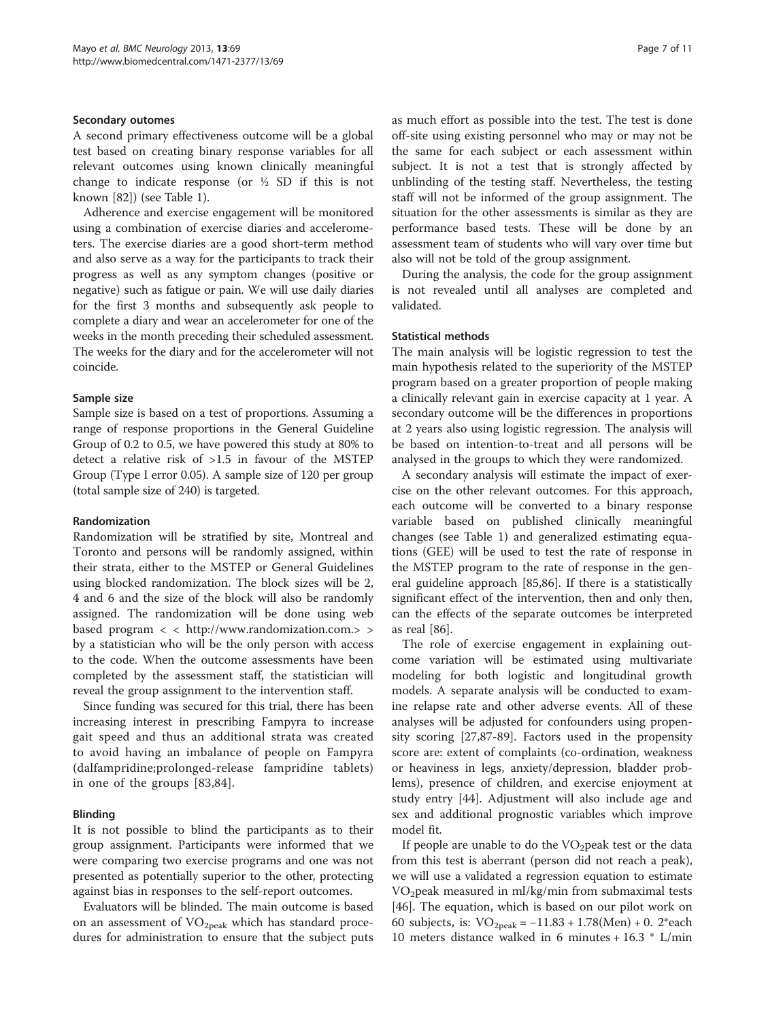#### Secondary outomes

A second primary effectiveness outcome will be a global test based on creating binary response variables for all relevant outcomes using known clinically meaningful change to indicate response (or  $\frac{1}{2}$  SD if this is not known [[82](#page-9-0)]) (see Table [1\)](#page-5-0).

Adherence and exercise engagement will be monitored using a combination of exercise diaries and accelerometers. The exercise diaries are a good short-term method and also serve as a way for the participants to track their progress as well as any symptom changes (positive or negative) such as fatigue or pain. We will use daily diaries for the first 3 months and subsequently ask people to complete a diary and wear an accelerometer for one of the weeks in the month preceding their scheduled assessment. The weeks for the diary and for the accelerometer will not coincide.

#### Sample size

Sample size is based on a test of proportions. Assuming a range of response proportions in the General Guideline Group of 0.2 to 0.5, we have powered this study at 80% to detect a relative risk of >1.5 in favour of the MSTEP Group (Type I error 0.05). A sample size of 120 per group (total sample size of 240) is targeted.

#### Randomization

Randomization will be stratified by site, Montreal and Toronto and persons will be randomly assigned, within their strata, either to the MSTEP or General Guidelines using blocked randomization. The block sizes will be 2, 4 and 6 and the size of the block will also be randomly assigned. The randomization will be done using web based program < < [http://www.randomization.com.](http://www.randomization.com)> > by a statistician who will be the only person with access to the code. When the outcome assessments have been completed by the assessment staff, the statistician will reveal the group assignment to the intervention staff.

Since funding was secured for this trial, there has been increasing interest in prescribing Fampyra to increase gait speed and thus an additional strata was created to avoid having an imbalance of people on Fampyra (dalfampridine;prolonged-release fampridine tablets) in one of the groups [\[83](#page-9-0),[84\]](#page-9-0).

#### Blinding

It is not possible to blind the participants as to their group assignment. Participants were informed that we were comparing two exercise programs and one was not presented as potentially superior to the other, protecting against bias in responses to the self-report outcomes.

Evaluators will be blinded. The main outcome is based on an assessment of  $VO<sub>2peak</sub>$  which has standard procedures for administration to ensure that the subject puts as much effort as possible into the test. The test is done off-site using existing personnel who may or may not be the same for each subject or each assessment within subject. It is not a test that is strongly affected by unblinding of the testing staff. Nevertheless, the testing staff will not be informed of the group assignment. The situation for the other assessments is similar as they are performance based tests. These will be done by an assessment team of students who will vary over time but also will not be told of the group assignment.

During the analysis, the code for the group assignment is not revealed until all analyses are completed and validated.

#### Statistical methods

The main analysis will be logistic regression to test the main hypothesis related to the superiority of the MSTEP program based on a greater proportion of people making a clinically relevant gain in exercise capacity at 1 year. A secondary outcome will be the differences in proportions at 2 years also using logistic regression. The analysis will be based on intention-to-treat and all persons will be analysed in the groups to which they were randomized.

A secondary analysis will estimate the impact of exercise on the other relevant outcomes. For this approach, each outcome will be converted to a binary response variable based on published clinically meaningful changes (see Table [1](#page-5-0)) and generalized estimating equations (GEE) will be used to test the rate of response in the MSTEP program to the rate of response in the general guideline approach [\[85,86](#page-10-0)]. If there is a statistically significant effect of the intervention, then and only then, can the effects of the separate outcomes be interpreted as real [\[86\]](#page-10-0).

The role of exercise engagement in explaining outcome variation will be estimated using multivariate modeling for both logistic and longitudinal growth models. A separate analysis will be conducted to examine relapse rate and other adverse events. All of these analyses will be adjusted for confounders using propensity scoring [\[27](#page-8-0)[,87](#page-10-0)-[89\]](#page-10-0). Factors used in the propensity score are: extent of complaints (co-ordination, weakness or heaviness in legs, anxiety/depression, bladder problems), presence of children, and exercise enjoyment at study entry [[44\]](#page-9-0). Adjustment will also include age and sex and additional prognostic variables which improve model fit.

If people are unable to do the  $VO<sub>2</sub>$  peak test or the data from this test is aberrant (person did not reach a peak), we will use a validated a regression equation to estimate  $VO<sub>2</sub>peak measured in ml/kg/min from submaximal tests$ [[46\]](#page-9-0). The equation, which is based on our pilot work on 60 subjects, is:  $VO_{2peak} = -11.83 + 1.78(Men) + 0.2*each$ 10 meters distance walked in 6 minutes + 16.3 \* L/min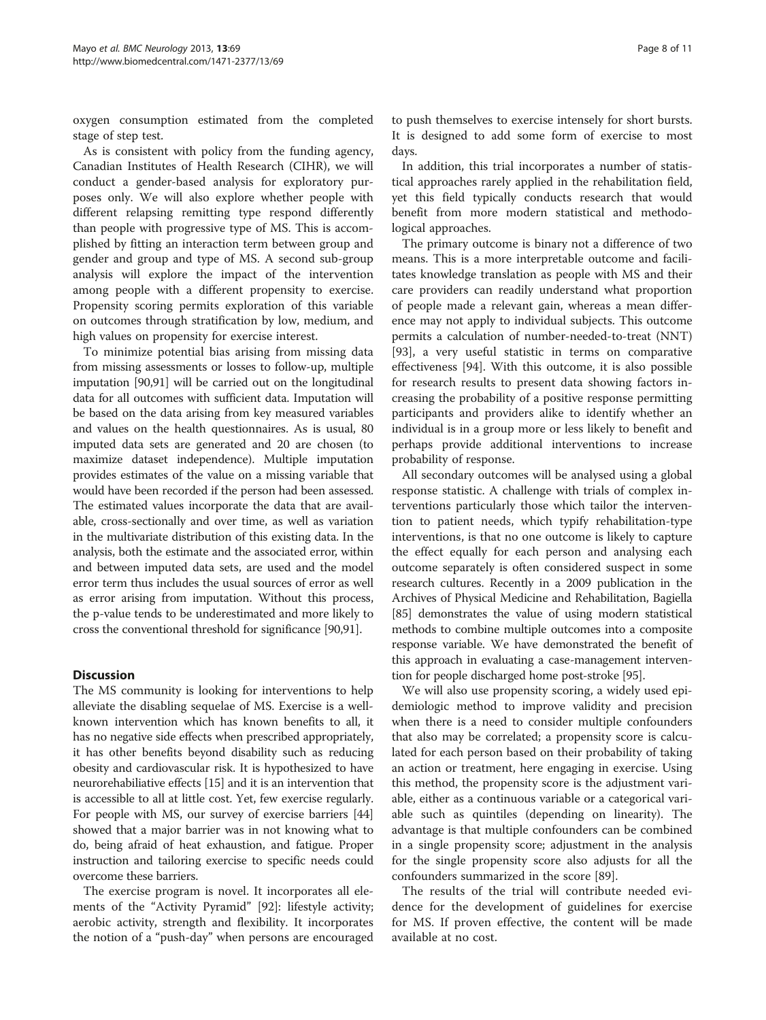oxygen consumption estimated from the completed stage of step test.

As is consistent with policy from the funding agency, Canadian Institutes of Health Research (CIHR), we will conduct a gender-based analysis for exploratory purposes only. We will also explore whether people with different relapsing remitting type respond differently than people with progressive type of MS. This is accomplished by fitting an interaction term between group and gender and group and type of MS. A second sub-group analysis will explore the impact of the intervention among people with a different propensity to exercise. Propensity scoring permits exploration of this variable on outcomes through stratification by low, medium, and high values on propensity for exercise interest.

To minimize potential bias arising from missing data from missing assessments or losses to follow-up, multiple imputation [\[90,91\]](#page-10-0) will be carried out on the longitudinal data for all outcomes with sufficient data. Imputation will be based on the data arising from key measured variables and values on the health questionnaires. As is usual, 80 imputed data sets are generated and 20 are chosen (to maximize dataset independence). Multiple imputation provides estimates of the value on a missing variable that would have been recorded if the person had been assessed. The estimated values incorporate the data that are available, cross-sectionally and over time, as well as variation in the multivariate distribution of this existing data. In the analysis, both the estimate and the associated error, within and between imputed data sets, are used and the model error term thus includes the usual sources of error as well as error arising from imputation. Without this process, the p-value tends to be underestimated and more likely to cross the conventional threshold for significance [\[90,91](#page-10-0)].

## **Discussion**

The MS community is looking for interventions to help alleviate the disabling sequelae of MS. Exercise is a wellknown intervention which has known benefits to all, it has no negative side effects when prescribed appropriately, it has other benefits beyond disability such as reducing obesity and cardiovascular risk. It is hypothesized to have neurorehabiliative effects [[15\]](#page-8-0) and it is an intervention that is accessible to all at little cost. Yet, few exercise regularly. For people with MS, our survey of exercise barriers [[44](#page-9-0)] showed that a major barrier was in not knowing what to do, being afraid of heat exhaustion, and fatigue. Proper instruction and tailoring exercise to specific needs could overcome these barriers.

The exercise program is novel. It incorporates all elements of the "Activity Pyramid" [\[92](#page-10-0)]: lifestyle activity; aerobic activity, strength and flexibility. It incorporates the notion of a "push-day" when persons are encouraged

to push themselves to exercise intensely for short bursts. It is designed to add some form of exercise to most days.

In addition, this trial incorporates a number of statistical approaches rarely applied in the rehabilitation field, yet this field typically conducts research that would benefit from more modern statistical and methodological approaches.

The primary outcome is binary not a difference of two means. This is a more interpretable outcome and facilitates knowledge translation as people with MS and their care providers can readily understand what proportion of people made a relevant gain, whereas a mean difference may not apply to individual subjects. This outcome permits a calculation of number-needed-to-treat (NNT) [[93\]](#page-10-0), a very useful statistic in terms on comparative effectiveness [[94\]](#page-10-0). With this outcome, it is also possible for research results to present data showing factors increasing the probability of a positive response permitting participants and providers alike to identify whether an individual is in a group more or less likely to benefit and perhaps provide additional interventions to increase probability of response.

All secondary outcomes will be analysed using a global response statistic. A challenge with trials of complex interventions particularly those which tailor the intervention to patient needs, which typify rehabilitation-type interventions, is that no one outcome is likely to capture the effect equally for each person and analysing each outcome separately is often considered suspect in some research cultures. Recently in a 2009 publication in the Archives of Physical Medicine and Rehabilitation, Bagiella [[85](#page-10-0)] demonstrates the value of using modern statistical methods to combine multiple outcomes into a composite response variable. We have demonstrated the benefit of this approach in evaluating a case-management intervention for people discharged home post-stroke [\[95\]](#page-10-0).

We will also use propensity scoring, a widely used epidemiologic method to improve validity and precision when there is a need to consider multiple confounders that also may be correlated; a propensity score is calculated for each person based on their probability of taking an action or treatment, here engaging in exercise. Using this method, the propensity score is the adjustment variable, either as a continuous variable or a categorical variable such as quintiles (depending on linearity). The advantage is that multiple confounders can be combined in a single propensity score; adjustment in the analysis for the single propensity score also adjusts for all the confounders summarized in the score [[89](#page-10-0)].

The results of the trial will contribute needed evidence for the development of guidelines for exercise for MS. If proven effective, the content will be made available at no cost.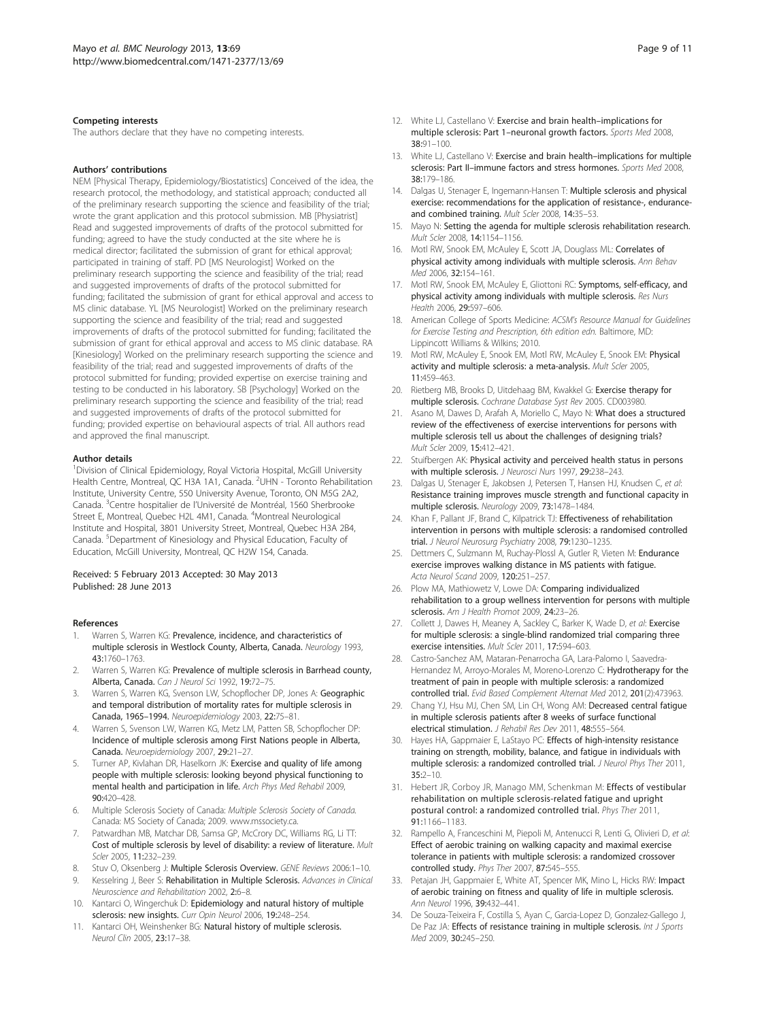#### <span id="page-8-0"></span>Competing interests

The authors declare that they have no competing interests.

#### Authors' contributions

NEM [Physical Therapy, Epidemiology/Biostatistics] Conceived of the idea, the research protocol, the methodology, and statistical approach; conducted all of the preliminary research supporting the science and feasibility of the trial; wrote the grant application and this protocol submission. MB [Physiatrist] Read and suggested improvements of drafts of the protocol submitted for funding; agreed to have the study conducted at the site where he is medical director; facilitated the submission of grant for ethical approval; participated in training of staff. PD [MS Neurologist] Worked on the preliminary research supporting the science and feasibility of the trial; read and suggested improvements of drafts of the protocol submitted for funding; facilitated the submission of grant for ethical approval and access to MS clinic database. YL [MS Neurologist] Worked on the preliminary research supporting the science and feasibility of the trial; read and suggested improvements of drafts of the protocol submitted for funding; facilitated the submission of grant for ethical approval and access to MS clinic database. RA [Kinesiology] Worked on the preliminary research supporting the science and feasibility of the trial; read and suggested improvements of drafts of the protocol submitted for funding; provided expertise on exercise training and testing to be conducted in his laboratory. SB [Psychology] Worked on the preliminary research supporting the science and feasibility of the trial; read and suggested improvements of drafts of the protocol submitted for funding; provided expertise on behavioural aspects of trial. All authors read and approved the final manuscript.

#### Author details

<sup>1</sup> Division of Clinical Epidemiology, Royal Victoria Hospital, McGill University Health Centre, Montreal, QC H3A 1A1, Canada. <sup>2</sup>UHN - Toronto Rehabilitation Institute, University Centre, 550 University Avenue, Toronto, ON M5G 2A2, Canada. <sup>3</sup>Centre hospitalier de l'Université de Montréal, 1560 Sherbrooke Street E, Montreal, Quebec H2L 4M1, Canada. <sup>4</sup>Montreal Neurological Institute and Hospital, 3801 University Street, Montreal, Quebec H3A 2B4, Canada. <sup>5</sup>Department of Kinesiology and Physical Education, Faculty of Education, McGill University, Montreal, QC H2W 1S4, Canada.

#### Received: 5 February 2013 Accepted: 30 May 2013 Published: 28 June 2013

#### References

- Warren S, Warren KG: Prevalence, incidence, and characteristics of multiple sclerosis in Westlock County, Alberta, Canada. Neurology 1993, 43:1760–1763.
- Warren S, Warren KG: Prevalence of multiple sclerosis in Barrhead county, Alberta, Canada. Can J Neurol Sci 1992, 19:72–75.
- 3. Warren S, Warren KG, Svenson LW, Schopflocher DP, Jones A: Geographic and temporal distribution of mortality rates for multiple sclerosis in Canada, 1965–1994. Neuroepidemiology 2003, 22:75–81.
- Warren S, Svenson LW, Warren KG, Metz LM, Patten SB, Schopflocher DP: Incidence of multiple sclerosis among First Nations people in Alberta, Canada. Neuroepidemiology 2007, 29:21–27.
- 5. Turner AP, Kivlahan DR, Haselkorn JK: Exercise and quality of life among people with multiple sclerosis: looking beyond physical functioning to mental health and participation in life. Arch Phys Med Rehabil 2009, 90:420–428.
- 6. Multiple Sclerosis Society of Canada: Multiple Sclerosis Society of Canada. Canada: MS Society of Canada; 2009. [www.mssociety.ca.](http://www.mssociety.ca)
- 7. Patwardhan MB, Matchar DB, Samsa GP, McCrory DC, Williams RG, Li TT: Cost of multiple sclerosis by level of disability: a review of literature. Mult Scler 2005, 11:232–239.
- 8. Stuv O, Oksenberg J: Multiple Sclerosis Overview. GENE Reviews 2006:1-10.
- Kesselring J, Beer S: Rehabilitation in Multiple Sclerosis. Advances in Clinical Neuroscience and Rehabilitation 2002, 2:6–8.
- 10. Kantarci O, Wingerchuk D: Epidemiology and natural history of multiple sclerosis: new insights. Curr Opin Neurol 2006, 19:248–254.
- 11. Kantarci OH, Weinshenker BG: Natural history of multiple sclerosis. Neurol Clin 2005, 23:17–38.
- 12. White LJ, Castellano V: Exercise and brain health-implications for multiple sclerosis: Part 1–neuronal growth factors. Sports Med 2008, 38:91–100.
- 13. White LJ, Castellano V: Exercise and brain health–implications for multiple sclerosis: Part II–immune factors and stress hormones. Sports Med 2008, 38:179–186.
- 14. Dalgas U, Stenager E, Ingemann-Hansen T: Multiple sclerosis and physical exercise: recommendations for the application of resistance-, enduranceand combined training. Mult Scler 2008, 14:35–53.
- 15. Mayo N: Setting the agenda for multiple sclerosis rehabilitation research. Mult Scler 2008, 14:1154–1156.
- 16. Motl RW, Snook EM, McAuley E, Scott JA, Douglass ML: Correlates of physical activity among individuals with multiple sclerosis. Ann Behav Med 2006, 32:154–161.
- 17. Motl RW, Snook EM, McAuley E, Gliottoni RC: Symptoms, self-efficacy, and physical activity among individuals with multiple sclerosis. Res Nurs Health 2006, 29:597–606.
- 18. American College of Sports Medicine: ACSM's Resource Manual for Guidelines for Exercise Testing and Prescription, 6th edition edn. Baltimore, MD: Lippincott Williams & Wilkins; 2010.
- 19. Motl RW, McAuley E, Snook EM, Motl RW, McAuley E, Snook EM: Physical activity and multiple sclerosis: a meta-analysis. Mult Scler 2005, 11:459–463.
- 20. Rietberg MB, Brooks D, Uitdehaag BM, Kwakkel G: Exercise therapy for multiple sclerosis. Cochrane Database Syst Rev 2005. CD003980.
- 21. Asano M, Dawes D, Arafah A, Moriello C, Mayo N: What does a structured review of the effectiveness of exercise interventions for persons with multiple sclerosis tell us about the challenges of designing trials? Mult Scler 2009, 15:412-421.
- 22. Stuifbergen AK: Physical activity and perceived health status in persons with multiple sclerosis. J Neurosci Nurs 1997, 29:238–243.
- 23. Dalgas U, Stenager E, Jakobsen J, Petersen T, Hansen HJ, Knudsen C, et al: Resistance training improves muscle strength and functional capacity in multiple sclerosis. Neurology 2009, 73:1478–1484.
- 24. Khan F, Pallant JF, Brand C, Kilpatrick TJ: Effectiveness of rehabilitation intervention in persons with multiple sclerosis: a randomised controlled trial. J Neurol Neurosurg Psychiatry 2008, 79:1230-1235.
- 25. Dettmers C, Sulzmann M, Ruchay-Plossl A, Gutler R, Vieten M: Endurance exercise improves walking distance in MS patients with fatigue. Acta Neurol Scand 2009, 120:251–257.
- 26. Plow MA, Mathiowetz V, Lowe DA: Comparing individualized rehabilitation to a group wellness intervention for persons with multiple sclerosis. Am J Health Promot 2009, 24:23-26.
- 27. Collett J, Dawes H, Meaney A, Sackley C, Barker K, Wade D, et al: Exercise for multiple sclerosis: a single-blind randomized trial comparing three exercise intensities. Mult Scler 2011, 17:594–603.
- 28. Castro-Sanchez AM, Mataran-Penarrocha GA, Lara-Palomo I, Saavedra-Hernandez M, Arroyo-Morales M, Moreno-Lorenzo C: Hydrotherapy for the treatment of pain in people with multiple sclerosis: a randomized controlled trial. Evid Based Complement Alternat Med 2012, 201(2):473963.
- 29. Chang YJ, Hsu MJ, Chen SM, Lin CH, Wong AM: Decreased central fatigue in multiple sclerosis patients after 8 weeks of surface functional electrical stimulation. J Rehabil Res Dev 2011, 48:555-564.
- 30. Hayes HA, Gappmaier E, LaStayo PC: Effects of high-intensity resistance training on strength, mobility, balance, and fatigue in individuals with multiple sclerosis: a randomized controlled trial. J Neurol Phys Ther 2011,  $35:2 - 10$ .
- 31. Hebert JR, Corboy JR, Manago MM, Schenkman M: Effects of vestibular rehabilitation on multiple sclerosis-related fatigue and upright postural control: a randomized controlled trial. Phys Ther 2011, 91:1166–1183.
- 32. Rampello A, Franceschini M, Piepoli M, Antenucci R, Lenti G, Olivieri D, et al: Effect of aerobic training on walking capacity and maximal exercise tolerance in patients with multiple sclerosis: a randomized crossover controlled study. Phys Ther 2007, 87:545–555.
- 33. Petajan JH, Gappmaier E, White AT, Spencer MK, Mino L, Hicks RW: Impact of aerobic training on fitness and quality of life in multiple sclerosis. Ann Neurol 1996, 39:432–441.
- 34. De Souza-Teixeira F, Costilla S, Ayan C, Garcia-Lopez D, Gonzalez-Gallego J, De Paz JA: Effects of resistance training in multiple sclerosis. Int J Sports Med 2009, 30:245–250.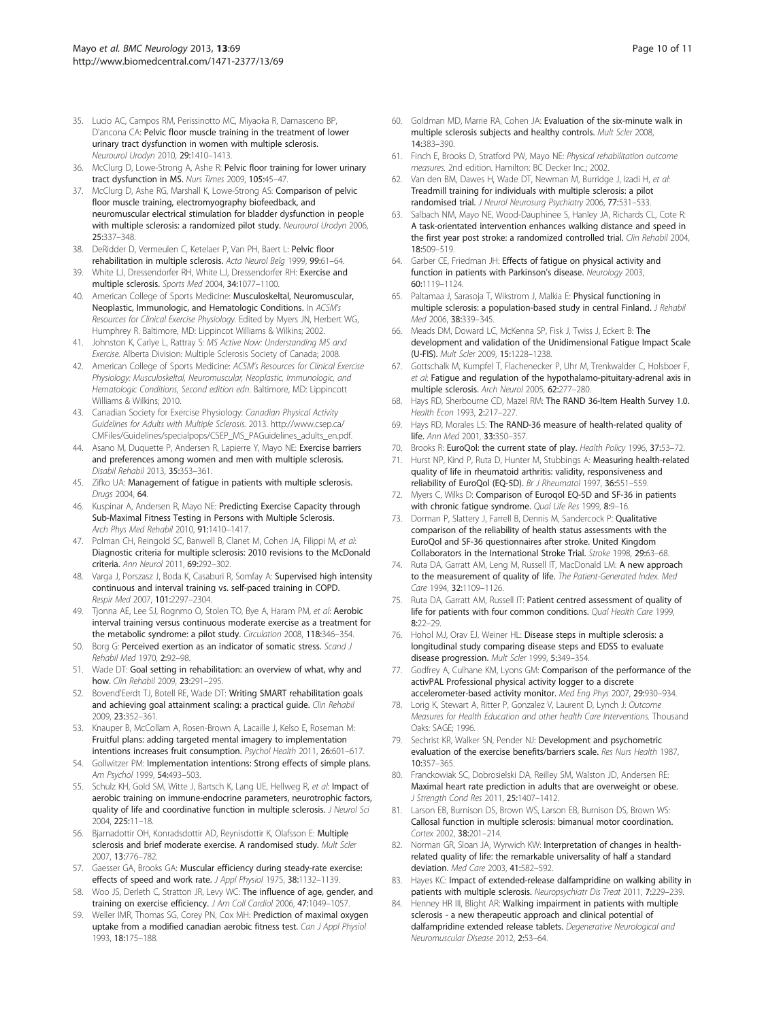- <span id="page-9-0"></span>35. Lucio AC, Campos RM, Perissinotto MC, Miyaoka R, Damasceno BP, D'ancona CA: Pelvic floor muscle training in the treatment of lower urinary tract dysfunction in women with multiple sclerosis. Neurourol Urodyn 2010, 29:1410–1413.
- 36. McClurg D, Lowe-Strong A, Ashe R: Pelvic floor training for lower urinary tract dysfunction in MS. Nurs Times 2009, 105:45–47.
- 37. McClurg D, Ashe RG, Marshall K, Lowe-Strong AS: Comparison of pelvic floor muscle training, electromyography biofeedback, and neuromuscular electrical stimulation for bladder dysfunction in people with multiple sclerosis: a randomized pilot study. Neurourol Urodyn 2006, 25:337–348.
- 38. DeRidder D, Vermeulen C, Ketelaer P, Van PH, Baert L: Pelvic floor rehabilitation in multiple sclerosis. Acta Neurol Belg 1999, 99:61–64.
- 39. White LJ, Dressendorfer RH, White LJ, Dressendorfer RH: Exercise and multiple sclerosis. Sports Med 2004, 34:1077–1100.
- 40. American College of Sports Medicine: Musculoskeltal, Neuromuscular, Neoplastic, Immunologic, and Hematologic Conditions. In ACSM's Resources for Clinical Exercise Physiology. Edited by Myers JN, Herbert WG, Humphrey R. Baltimore, MD: Lippincot Williams & Wilkins; 2002.
- 41. Johnston K, Carlye L, Rattray S: MS Active Now: Understanding MS and Exercise. Alberta Division: Multiple Sclerosis Society of Canada; 2008.
- 42. American College of Sports Medicine: ACSM's Resources for Clinical Exercise Physiology: Musculoskeltal, Neuromuscular, Neoplastic, Immunologic, and Hematologic Conditions, Second edition edn. Baltimore, MD: Lippincott Williams & Wilkins; 2010.
- 43. Canadian Society for Exercise Physiology: Canadian Physical Activity Guidelines for Adults with Multiple Sclerosis. 2013. [http://www.csep.ca/](http://www.csep.ca/CMFiles/Guidelines/specialpops/CSEP_MS_PAGuidelines_adults_en.pdf) [CMFiles/Guidelines/specialpops/CSEP\\_MS\\_PAGuidelines\\_adults\\_en.pdf.](http://www.csep.ca/CMFiles/Guidelines/specialpops/CSEP_MS_PAGuidelines_adults_en.pdf)
- 44. Asano M, Duquette P, Andersen R, Lapierre Y, Mayo NE: Exercise barriers and preferences among women and men with multiple sclerosis. Disabil Rehabil 2013, 35:353–361.
- 45. Zifko UA: Management of fatigue in patients with multiple sclerosis. Drugs 2004, 64.
- 46. Kuspinar A, Andersen R, Mayo NE: Predicting Exercise Capacity through Sub-Maximal Fitness Testing in Persons with Multiple Sclerosis. Arch Phys Med Rehabil 2010, 91:1410–1417.
- 47. Polman CH, Reingold SC, Banwell B, Clanet M, Cohen JA, Filippi M, et al: Diagnostic criteria for multiple sclerosis: 2010 revisions to the McDonald criteria. Ann Neurol 2011, 69:292–302.
- 48. Varga J, Porszasz J, Boda K, Casaburi R, Somfay A: Supervised high intensity continuous and interval training vs. self-paced training in COPD. Respir Med 2007, 101:2297–2304.
- 49. Tjonna AE, Lee SJ, Rognmo O, Stolen TO, Bye A, Haram PM, et al: Aerobic interval training versus continuous moderate exercise as a treatment for the metabolic syndrome: a pilot study. Circulation 2008, 118:346–354.
- 50. Borg G: Perceived exertion as an indicator of somatic stress. Scand J Rehabil Med 1970, 2:92–98.
- 51. Wade DT: Goal setting in rehabilitation: an overview of what, why and how. Clin Rehabil 2009, 23:291–295.
- 52. Bovend'Eerdt TJ, Botell RE, Wade DT: Writing SMART rehabilitation goals and achieving goal attainment scaling: a practical guide. Clin Rehabil 2009, 23:352–361.
- 53. Knauper B, McCollam A, Rosen-Brown A, Lacaille J, Kelso E, Roseman M: Fruitful plans: adding targeted mental imagery to implementation intentions increases fruit consumption. Psychol Health 2011, 26:601–617.
- 54. Gollwitzer PM: Implementation intentions: Strong effects of simple plans. Am Psychol 1999, 54:493–503.
- 55. Schulz KH, Gold SM, Witte J, Bartsch K, Lang UE, Hellweg R, et al: Impact of aerobic training on immune-endocrine parameters, neurotrophic factors, quality of life and coordinative function in multiple sclerosis. J Neurol Sci 2004, 225:11–18.
- 56. Bjarnadottir OH, Konradsdottir AD, Reynisdottir K, Olafsson E: Multiple sclerosis and brief moderate exercise. A randomised study. Mult Scler 2007, 13:776–782.
- 57. Gaesser GA, Brooks GA: Muscular efficiency during steady-rate exercise: effects of speed and work rate. J Appl Physiol 1975, 38:1132-1139.
- 58. Woo JS, Derleth C, Stratton JR, Levy WC: The influence of age, gender, and training on exercise efficiency. J Am Coll Cardiol 2006, 47:1049–1057.
- 59. Weller IMR, Thomas SG, Corey PN, Cox MH: Prediction of maximal oxygen uptake from a modified canadian aerobic fitness test. Can J Appl Physiol 1993, 18:175–188.
- 60. Goldman MD, Marrie RA, Cohen JA: Evaluation of the six-minute walk in multiple sclerosis subjects and healthy controls. Mult Scler 2008, 14:383–390.
- 61. Finch E, Brooks D, Stratford PW, Mayo NE: Physical rehabilitation outcome measures. 2nd edition. Hamilton: BC Decker Inc.; 2002.
- 62. Van den BM, Dawes H, Wade DT, Newman M, Burridge J, Izadi H, et al: Treadmill training for individuals with multiple sclerosis: a pilot randomised trial. J Neurol Neurosurg Psychiatry 2006, 77:531–533.
- 63. Salbach NM, Mayo NE, Wood-Dauphinee S, Hanley JA, Richards CL, Cote R: A task-orientated intervention enhances walking distance and speed in the first year post stroke: a randomized controlled trial. Clin Rehabil 2004, 18:509–519.
- 64. Garber CE, Friedman JH: Effects of fatigue on physical activity and function in patients with Parkinson's disease. Neurology 2003, 60:1119–1124.
- 65. Paltamaa J, Sarasoja T, Wikstrom J, Malkia E: Physical functioning in multiple sclerosis: a population-based study in central Finland. J Rehabil Med 2006, 38:339–345.
- 66. Meads DM, Doward LC, McKenna SP, Fisk J, Twiss J, Eckert B: The development and validation of the Unidimensional Fatigue Impact Scale (U-FIS). Mult Scler 2009, 15:1228–1238.
- 67. Gottschalk M, Kumpfel T, Flachenecker P, Uhr M, Trenkwalder C, Holsboer F, et al: Fatigue and regulation of the hypothalamo-pituitary-adrenal axis in multiple sclerosis. Arch Neurol 2005, 62:277–280.
- 68. Hays RD, Sherbourne CD, Mazel RM: The RAND 36-Item Health Survey 1.0. Health Econ 1993, 2:217–227.
- 69. Hays RD, Morales LS: The RAND-36 measure of health-related quality of life. Ann Med 2001, 33:350–357.
- 70. Brooks R: EuroQol: the current state of play. Health Policy 1996, 37:53-72
- 71. Hurst NP, Kind P, Ruta D, Hunter M, Stubbings A: Measuring health-related quality of life in rheumatoid arthritis: validity, responsiveness and reliability of EuroQol (EQ-5D). Br J Rheumatol 1997, 36:551–559.
- 72. Myers C, Wilks D: Comparison of Euroqol EQ-5D and SF-36 in patients with chronic fatigue syndrome. Qual Life Res 1999, 8:9-16.
- 73. Dorman P, Slattery J, Farrell B, Dennis M, Sandercock P: Qualitative comparison of the reliability of health status assessments with the EuroQol and SF-36 questionnaires after stroke. United Kingdom Collaborators in the International Stroke Trial. Stroke 1998, 29:63–68.
- 74. Ruta DA, Garratt AM, Leng M, Russell IT, MacDonald LM: A new approach to the measurement of quality of life. The Patient-Generated Index. Med Care 1994, 32:1109–1126.
- 75. Ruta DA, Garratt AM, Russell IT: Patient centred assessment of quality of life for patients with four common conditions. Qual Health Care 1999, 8:22–29.
- 76. Hohol MJ, Orav EJ, Weiner HL: Disease steps in multiple sclerosis: a longitudinal study comparing disease steps and EDSS to evaluate disease progression. Mult Scler 1999, 5:349–354.
- 77. Godfrey A, Culhane KM, Lyons GM: Comparison of the performance of the activPAL Professional physical activity logger to a discrete accelerometer-based activity monitor. Med Eng Phys 2007, 29:930–934.
- 78. Lorig K, Stewart A, Ritter P, Gonzalez V, Laurent D, Lynch J: Outcome Measures for Health Education and other health Care Interventions. Thousand Oaks: SAGE; 1996.
- 79. Sechrist KR, Walker SN, Pender NJ: Development and psychometric evaluation of the exercise benefits/barriers scale. Res Nurs Health 1987, 10:357–365.
- 80. Franckowiak SC, Dobrosielski DA, Reilley SM, Walston JD, Andersen RE: Maximal heart rate prediction in adults that are overweight or obese. J Strength Cond Res 2011, 25:1407–1412.
- 81. Larson EB, Burnison DS, Brown WS, Larson EB, Burnison DS, Brown WS: Callosal function in multiple sclerosis: bimanual motor coordination. Cortex 2002, 38:201–214.
- 82. Norman GR, Sloan JA, Wyrwich KW: Interpretation of changes in healthrelated quality of life: the remarkable universality of half a standard deviation. Med Care 2003, 41:582–592.
- 83. Hayes KC: Impact of extended-release dalfampridine on walking ability in patients with multiple sclerosis. Neuropsychiatr Dis Treat 2011, 7:229–239.
- Henney HR III, Blight AR: Walking impairment in patients with multiple sclerosis - a new therapeutic approach and clinical potential of dalfampridine extended release tablets. Degenerative Neurological and Neuromuscular Disease 2012, 2:53–64.